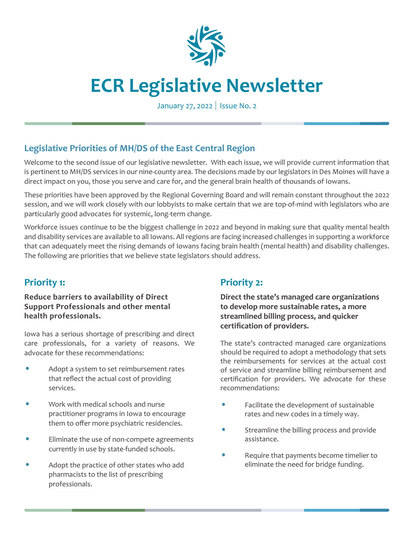

# **ECR Legislative Newsletter**

January 27, 2022 | Issue No. 2

# **Legislative Priorities of MH/DS of the East Central Region**

Welcome to the second issue of our legislative newsletter. With each issue, we will provide current information that is pertinent to MH/DS services in our nine-county area. The decisions made by our legislators in Des Moines will have a direct impact on you, those you serve and care for, and the general brain health of thousands of Iowans.

These priorities have been approved by the Regional Governing Board and will remain constant throughout the 2022 session, and we will work closely with our lobbyists to make certain that we are top-of-mind with legislators who are particularly good advocates for systemic, long-term change.

Workforce issues continue to be the biggest challenge in 2022 and beyond in making sure that quality mental health and disability services are available to all Iowans. All regions are facing increased challenges in supporting a workforce that can adequately meet the rising demands of Iowans facing brain health (mental health) and disability challenges. The following are priorities that we believe state legislators should address.

# **Priority 1:**

#### **Reduce barriers to availability of Direct Support Professionals and other mental health professionals.**

Iowa has a serious shortage of prescribing and direct care professionals, for a variety of reasons. We advocate for these recommendations:

- Adopt a system to set reimbursement rates that reflect the actual cost of providing services.
- Work with medical schools and nurse practitioner programs in Iowa to encourage them to offer more psychiatric residencies.
- Eliminate the use of non-compete agreements currently in use by state-funded schools.
- Adopt the practice of other states who add pharmacists to the list of prescribing professionals.

# **Priority 2:**

**Direct the state's managed care organizations to develop more sustainable rates, a more streamlined billing process, and quicker certification of providers.** 

The state's contracted managed care organizations should be required to adopt a methodology that sets the reimbursements for services at the actual cost of service and streamline billing reimbursement and certification for providers. We advocate for these recommendations:

- Facilitate the development of sustainable rates and new codes in a timely way.
- Streamline the billing process and provide assistance.
- Require that payments become timelier to eliminate the need for bridge funding.